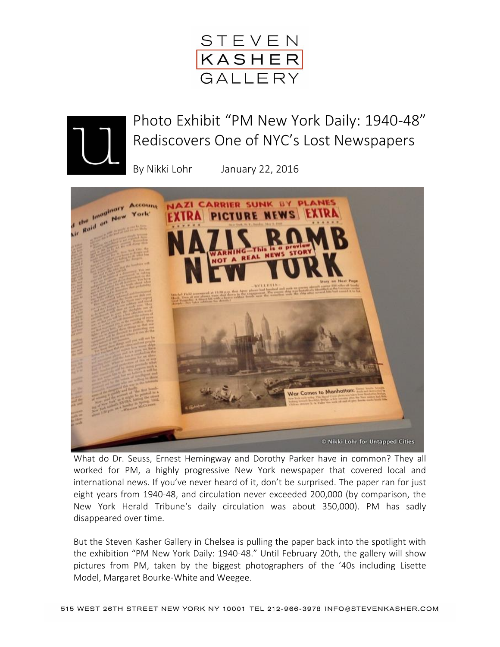



Photo Exhibit "PM New York Daily: 1940-48" Rediscovers One of NYC's Lost Newspapers

By Nikki Lohr January 22, 2016



What do Dr. Seuss, Ernest Hemingway and Dorothy Parker have in common? They all worked for PM, a highly progressive New York newspaper that covered local and international news. If you've never heard of it, don't be surprised. The paper ran for just eight years from 1940-48, and circulation never exceeded 200,000 (by comparison, the New York Herald Tribune's daily circulation was about 350,000). PM has sadly disappeared over time.

But the Steven Kasher Gallery in Chelsea is pulling the paper back into the spotlight with the exhibition "PM New York Daily: 1940-48." Until February 20th, the gallery will show pictures from PM, taken by the biggest photographers of the '40s including Lisette Model, Margaret Bourke-White and Weegee.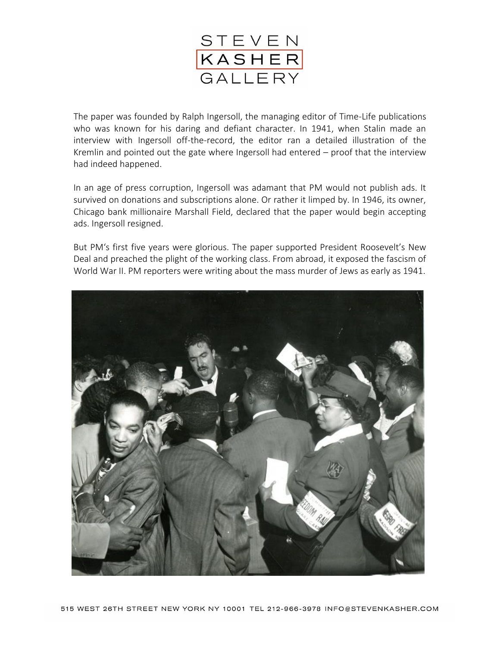

The paper was founded by Ralph Ingersoll, the managing editor of Time-Life publications who was known for his daring and defiant character. In 1941, when Stalin made an interview with Ingersoll off-the-record, the editor ran a detailed illustration of the Kremlin and pointed out the gate where Ingersoll had entered – proof that the interview had indeed happened.

In an age of press corruption, Ingersoll was adamant that PM would not publish ads. It survived on donations and subscriptions alone. Or rather it limped by. In 1946, its owner, Chicago bank millionaire Marshall Field, declared that the paper would begin accepting ads. Ingersoll resigned.

But PM's first five years were glorious. The paper supported President Roosevelt's New Deal and preached the plight of the working class. From abroad, it exposed the fascism of World War II. PM reporters were writing about the mass murder of Jews as early as 1941.